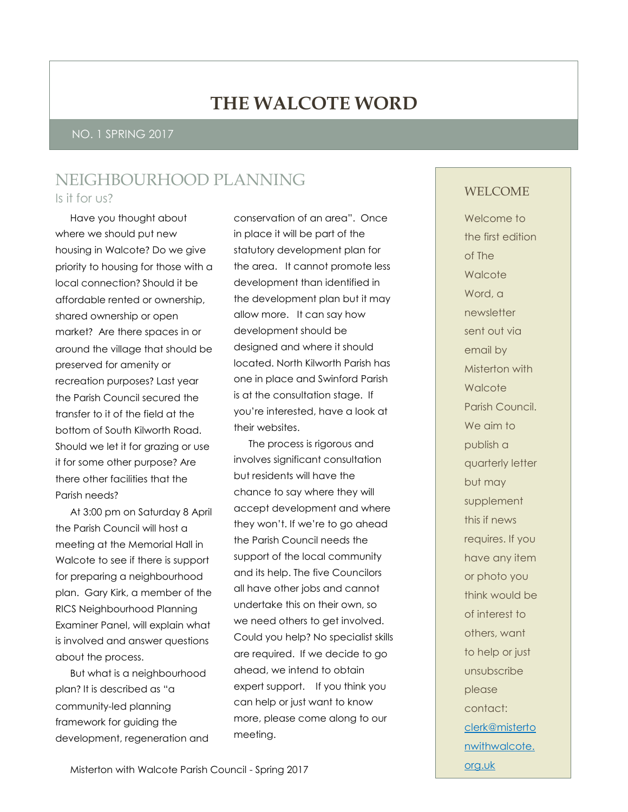# **THE WALCOTE WORD**

### NO. 1 SPRING 2017

# NEIGHBOURHOOD PLANNING

Is it for us?

Have you thought about where we should put new housing in Walcote? Do we give priority to housing for those with a local connection? Should it be affordable rented or ownership, shared ownership or open market? Are there spaces in or around the village that should be preserved for amenity or recreation purposes? Last year the Parish Council secured the transfer to it of the field at the bottom of South Kilworth Road. Should we let it for grazing or use it for some other purpose? Are there other facilities that the Parish needs?

At 3:00 pm on Saturday 8 April the Parish Council will host a meeting at the Memorial Hall in Walcote to see if there is support for preparing a neighbourhood plan. Gary Kirk, a member of the RICS Neighbourhood Planning Examiner Panel, will explain what is involved and answer questions about the process.

But what is a neighbourhood plan? It is described as "a community-led planning framework for guiding the development, regeneration and

conservation of an area". Once in place it will be part of the statutory development plan for the area. It cannot promote less development than identified in the development plan but it may allow more. It can say how development should be designed and where it should located. North Kilworth Parish has one in place and Swinford Parish is at the consultation stage. If you're interested, have a look at their websites.

The process is rigorous and involves significant consultation but residents will have the chance to say where they will accept development and where they won't. If we're to go ahead the Parish Council needs the support of the local community and its help. The five Councilors all have other jobs and cannot undertake this on their own, so we need others to get involved. Could you help? No specialist skills are required. If we decide to go ahead, we intend to obtain expert support. If you think you can help or just want to know more, please come along to our meeting.

### WELCOME

Welcome to the first edition of The **Walcote** Word, a newsletter sent out via email by Misterton with **Walcote** Parish Council. We aim to publish a quarterly letter but may supplement this if news requires. If you have any item or photo you think would be of interest to others, want to help or just unsubscribe please contact: [clerk@misterto](mailto:clerk@mistertonwithwalcote.org.uk) [nwithwalcote.](mailto:clerk@mistertonwithwalcote.org.uk) [org.uk](mailto:clerk@mistertonwithwalcote.org.uk)